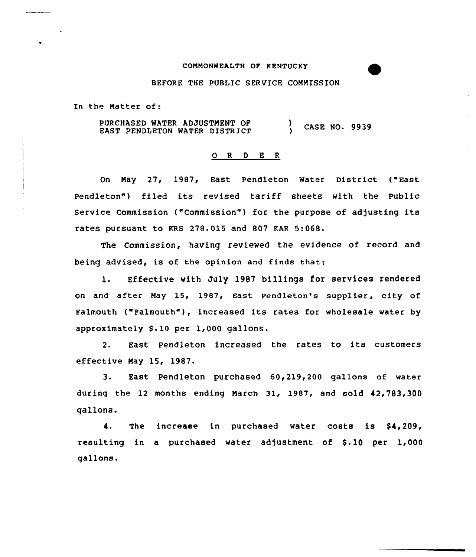#### COMMONWEALTH OP KENTUCKY

## BEFORE THE PUBLIC SERVICE COMMISSION

In the Matter of:

PURCHASED WATER ADJUSTMENT OF EAST PENDLETON WATER DISTRICT ) CASE NO. 9939

#### 0 R <sup>D</sup> E <sup>R</sup>

On May 27, 1987, East pendleton water District {"East Pendleton") filed its revised tariff sheets with the Public Service Commission ("Commission") for the purpose of adjusting its rates pursuant to KRs 278.015 and 807 EAR 5:068.

The Commission, having reviewed the evidence of record and being advised, is of the opinion and finds that:

l. Effective with July <sup>1987</sup> billings for services rendered on and after May 15, 1987, East Pendleton's supplier, city of Falmouth ("Falmouth"), increased its rates for wholesale water by approximately S.10 per 1,000 gallons.

2. East Pendleton increased the rates to its customers effective Nay 15, 19&7.

3. East Pendleton purchased 60,2l9,200 gallons of water during the 12 months ending March 31, 1987, and sold 42,783,300 gallons.

The increase in purchased water costs is  $$4,209$ , 4. resulting in a purchased water adjustment of \$.10 per 1,000 gallons.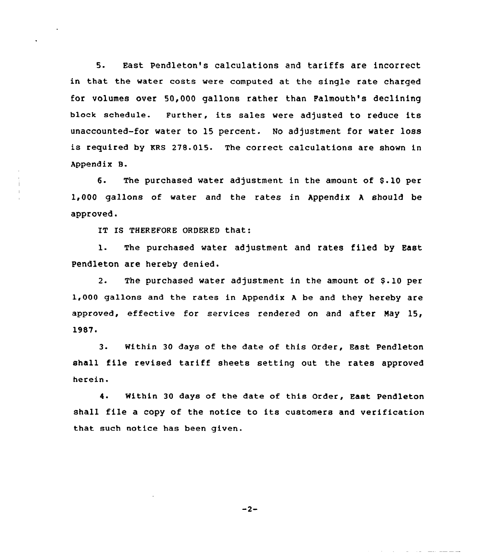5. East Pendleton's calculations and tariffs are incorrect in that the water costs were computed at the single rate charged for volumes over 50,000 gallons rather than Palmouth's declining block schedule. Further, its sales were adjusted to reduce its unaccounted-for water to 15 percent. No adjustment for water loss is required by KRS 278.015. The correct calculations are shown in Appendix B.

6. The purchased water adjustment in the amount of \$.10 per 1,000 gallons of water and the rates in Appendix <sup>A</sup> should be approved.

IT IS THEREFORE ORDERED that:

1. The purchased water adjustment and rates filed by East Pendleton are hereby denied.

2. The purchased water adjustment in the amount of \$.10 per 1,000 gallons and the rates in Appendix <sup>A</sup> be and they hereby are approved, effective for services rendered on and after Nay 15, 1987.

3. Within 30 days of the date of this Order, East Pendleton shall file revised tariff sheets setting out the rates approved herein.

4. Within 30 days of the date of this Order, East Pendleton shall file a copy of the notice to its customers and verification that such notice has been given.

 $-2-$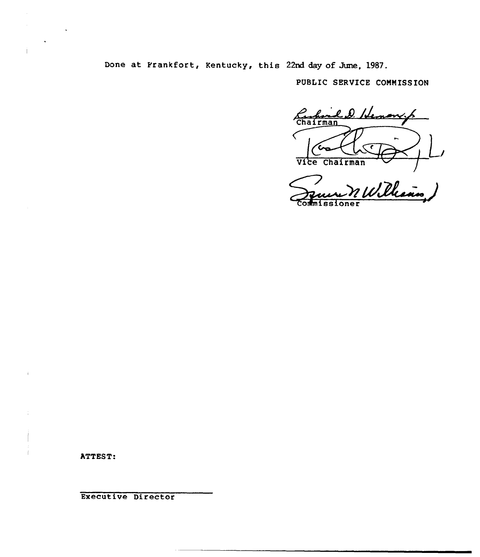Done at Frankfort, Kentucky, this 22nd day of June, 1987.

PUBLIC SERVICE COMMISSION

Chairman l. D. Hemon Vice Chairman

man J oner

ATTEST:

j.

Executive Director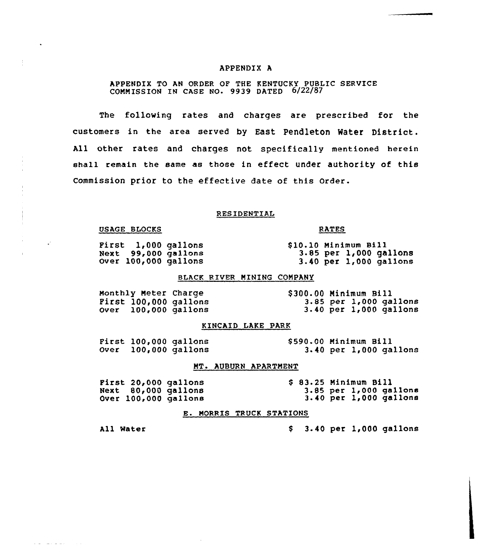# APPENDIX A

# APPENDIX TO AN ORDER OF THE KENTUCKY PUBLIC SERVICE COMMISSION IN CASE NO- 9939 DATED 6/22/87

The following rates and charges are prescribed for the customers in the area served by East Pendleton Water District. All other rates and charges not specifically mentioned herein shall remain the same as those in effect under authority of this Commission prior to the effective date of this Order.

#### RESIDENTIAL

## OSAGE BLOCKS

 $\mathcal{L}$ 

المتحارب والمتحالي والمستناد المتحالية

First 1,000 gallons Next 99,000 gallons Over 100<000 gallons

<sup>3</sup> 85 per 1,000 gallons 3.40 per 1,000 gallons

# BLACK RIVER MINING COMPANY

Monthly Meter Charge First 100,000 gallons Over 100,000 gallons \$ 300.QQ Ninimum Bill 3.85 per 1,000 gallons 3.40 per 1,000 gallons

#### KINCAID LAKE PARK

| First 100,000 gallons |                      | \$590.00 Minimum Bill |  |                        |
|-----------------------|----------------------|-----------------------|--|------------------------|
|                       | Over 100,000 gallons |                       |  | 3.40 per 1,000 gallons |

#### MT. AUBURN APARTMENT

First 20,000 gallons Next 80,000 gallons Over 100,000 gallons

\$ 83.25 Minimum Bill 3.85 per l,000 gallons 3.40 per 1,000 gallons

## E. MORRIS TRUCK STATIONS

All Water

\$ 3.40 per 1,000 gallons

810.10 Minimum Bill

RATES